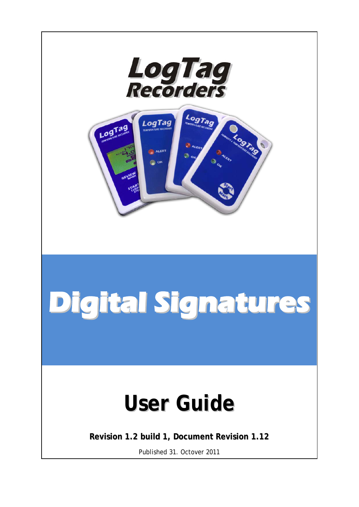

# **Digital Signatures**

## **User Guide**

**Revision 1.2 build 1, Document Revision 1.12**

Published 31. Octover 2011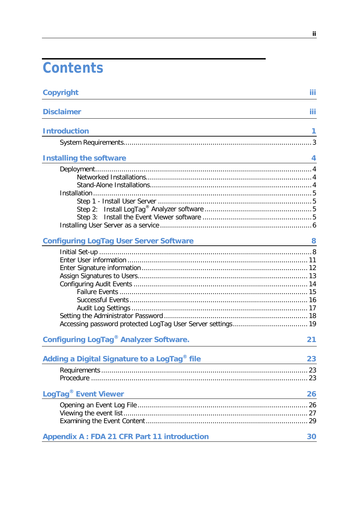## Contents

| <b>Copyright</b>                                                                                                                                          | iii |
|-----------------------------------------------------------------------------------------------------------------------------------------------------------|-----|
| <b>Disclaimer</b>                                                                                                                                         | iii |
| <b>Introduction</b><br><u> 1980 - Johann Stoff, deutscher Stoffen und der Stoffen und der Stoffen und der Stoffen und der Stoffen und de</u>              | 1   |
|                                                                                                                                                           |     |
| <b>Installing the software</b><br><u> 1980 - Johann Barn, mars ann an t-Amhain Aonaich an t-Aonaich an t-Aonaich an t-Aonaich an t-Aonaich an t-Aon</u>   | 4   |
|                                                                                                                                                           |     |
| <b>Configuring LogTag User Server Software</b>                                                                                                            | 8   |
|                                                                                                                                                           |     |
| <b>Configuring LogTag<sup>®</sup> Analyzer Software.</b>                                                                                                  | 21  |
| Adding a Digital Signature to a LogTag <sup>®</sup> file                                                                                                  | 23  |
| LogTag <sup>®</sup> Event Viewer<br><u> 1980 - Johann Stoff, deutscher Stoffen und der Stoffen und der Stoffen und der Stoffen und der Stoffen und de</u> | 26  |
|                                                                                                                                                           |     |
| <b>Appendix A: FDA 21 CFR Part 11 introduction</b>                                                                                                        | 30  |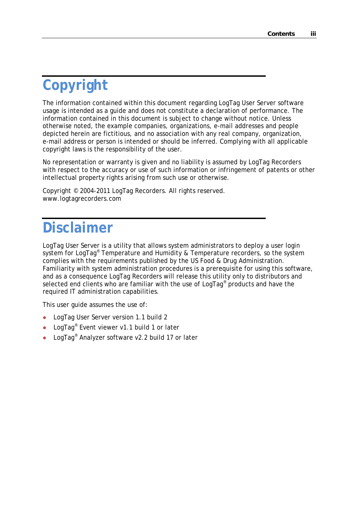## **Copyright**

The information contained within this document regarding LogTag User Server software usage is intended as a guide and does not constitute a declaration of performance. The information contained in this document is subject to change without notice. Unless otherwise noted, the example companies, organizations, e-mail addresses and people depicted herein are fictitious, and no association with any real company, organization, e-mail address or person is intended or should be inferred. Complying with all applicable copyright laws is the responsibility of the user.

No representation or warranty is given and no liability is assumed by LogTag Recorders with respect to the accuracy or use of such information or infringement of patents or other intellectual property rights arising from such use or otherwise.

Copyright © 2004-2011 LogTag Recorders. All rights reserved. www.logtagrecorders.com

## **Disclaimer**

LogTag User Server is a utility that allows system administrators to deploy a user login system for LogTag<sup>®</sup> Temperature and Humidity & Temperature recorders, so the system complies with the requirements published by the US Food & Drug Administration. Familiarity with system administration procedures is a prerequisite for using this software, and as a consequence LogTag Recorders will release this utility only to distributors and selected end clients who are familiar with the use of LogTag<sup>®</sup> products and have the required IT administration capabilities.

This user guide assumes the use of:

- **•** LogTag User Server version 1.1 build 2
- LogTag® Event viewer v1.1 build 1 or later
- LogTag<sup>®</sup> Analyzer software v2.2 build 17 or later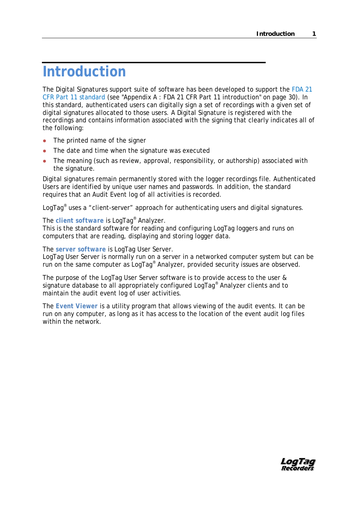## **Introduction**

The Digital Signatures support suite of software has been developed to support the FDA 21 CFR Part 11 standard (see ["Appendix A : FDA 21 CFR Part 11 introduction"](#page-33-0) on page [30\)](#page-33-0). In this standard, authenticated users can digitally sign a set of recordings with a given set of digital signatures allocated to those users. A Digital Signature is registered with the recordings and contains information associated with the signing that clearly indicates all of the following:

- The printed name of the signer
- The date and time when the signature was executed
- The meaning (such as review, approval, responsibility, or authorship) associated with the signature.

Digital signatures remain permanently stored with the logger recordings file. Authenticated Users are identified by unique user names and passwords. In addition, the standard requires that an Audit Event log of all activities is recorded.

LogTag<sup>®</sup> uses a "client-server" approach for authenticating users and digital signatures.

#### The *client software* is LogTag® Analyzer.

This is the standard software for reading and configuring LogTag loggers and runs on computers that are reading, displaying and storing logger data.

The *server software* is LogTag User Server.

LogTag User Server is normally run on a server in a networked computer system but can be run on the same computer as LogTag® Analyzer, provided security issues are observed.

The purpose of the LogTag User Server software is to provide access to the user & signature database to all appropriately configured LogTag® Analyzer clients and to maintain the audit event log of user activities.

The *Event Viewer* is a utility program that allows viewing of the audit events. It can be run on any computer, as long as it has access to the location of the event audit log files within the network.

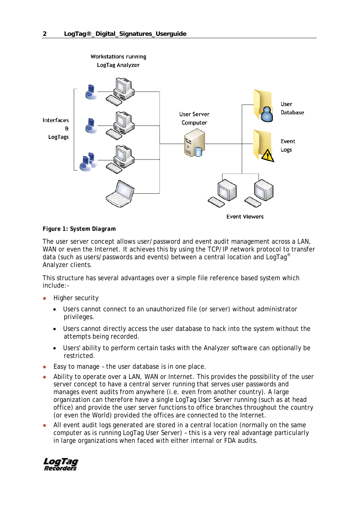

#### *Figure 1: System Diagram*

The *user server* concept allows user/password and event audit management across a LAN, WAN or even the Internet. It achieves this by using the TCP/IP network protocol to transfer data (such as users/passwords and events) between a central location and LogTag® Analyzer clients.

This structure has several advantages over a simple file reference based system which include:-

- Higher security
	- Users cannot connect to an unauthorized file (or server) without administrator privileges.
	- Users cannot directly access the user database to hack into the system without the attempts being recorded.
	- Users' ability to perform certain tasks with the Analyzer software can optionally be restricted.
- Easy to manage the user database is in one place.
- Ability to operate over a LAN, WAN or Internet. This provides the possibility of the user server concept to have a central server running that serves user passwords and manages event audits from anywhere (i.e. even from another country). A large organization can therefore have a single LogTag User Server running (such as at head office) and provide the user server functions to office branches throughout the country (or even the World) provided the offices are connected to the Internet.
- All event audit logs generated are stored in a central location (normally on the same computer as is running LogTag User Server) – this is a very real advantage particularly in large organizations when faced with either internal or FDA audits.

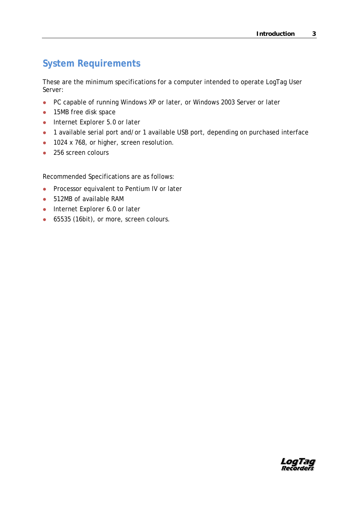## **System Requirements**

These are the minimum specifications for a computer intended to operate LogTag User Server:

- PC capable of running Windows XP or later, or Windows 2003 Server or later
- 15MB free disk space
- Internet Explorer 5.0 or later
- 1 available serial port and/or 1 available USB port, depending on purchased interface
- 1024 x 768, or higher, screen resolution.
- 256 screen colours

Recommended Specifications are as follows:

- **•** Processor equivalent to Pentium IV or later
- 512MB of available RAM
- Internet Explorer 6.0 or later
- 65535 (16bit), or more, screen colours.

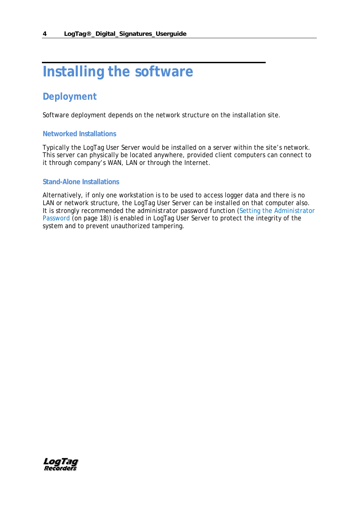## **Installing the software**

### **Deployment**

Software deployment depends on the network structure on the installation site.

#### **Networked Installations**

Typically the LogTag User Server would be installed on a server within the site's network. This server can physically be located anywhere, provided client computers can connect to it through company's WAN, LAN or through the Internet.

#### **Stand-Alone Installations**

Alternatively, if only one workstation is to be used to access logger data and there is no LAN or network structure, the LogTag User Server can be installed on that computer also. It is strongly recommended the *administrator password function* (Setting the Administrator Password (on page [18\)](#page-21-0)) is enabled in LogTag User Server to protect the integrity of the system and to prevent unauthorized tampering.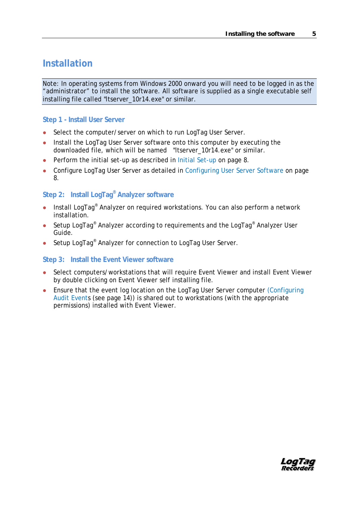#### **Installation**

Note: In operating systems from Windows 2000 onward you will need to be logged in as the "administrator" to install the software. All software is supplied as a single executable self installing file called "ltserver\_10r14.exe" or similar.

#### **Step 1 - Install User Server**

- Select the computer/server on which to run LogTag User Server.
- Install the LogTag User Server software onto this computer by executing the downloaded file, which will be named "ltserver\_10r14.exe" or similar.
- Perform the initial set-up as described in Initial Set-up on page [8.](#page-11-0)
- Configure LogTag User Server as detailed in Configuring User Server Software on page [8.](#page-11-1)

#### **Step 2: Install LogTag® Analyzer software**

- Install LogTag® Analyzer on required workstations. You can also perform a network installation.
- Setup LogTag<sup>®</sup> Analyzer according to requirements and the LogTag<sup>®</sup> Analyzer User Guide.
- Setup LogTag<sup>®</sup> Analyzer for connection to LogTag User Server.

#### **Step 3: Install the Event Viewer software**

- Select computers/workstations that will require Event Viewer and install Event Viewer by double clicking on Event Viewer self installing file.
- Ensure that the event log location on the LogTag User Server computer (Configuring Audit Events (see page [14\)](#page-17-0)) is shared out to workstations (with the appropriate permissions) installed with Event Viewer.

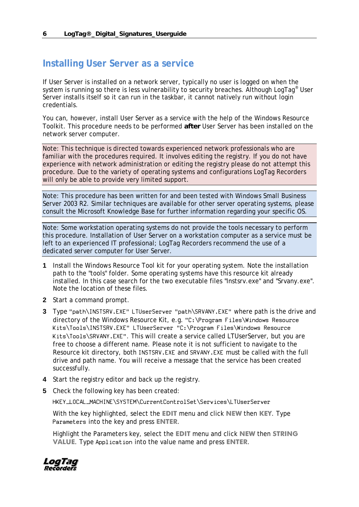#### **Installing User Server as a service**

If User Server is installed on a network server, typically no user is logged on when the system is running so there is less vulnerability to security breaches. Although LogTag<sup>®</sup> User Server installs itself so it can run in the taskbar, it cannot natively run without login credentials.

You can, however, install User Server as a service with the help of the Windows Resource Toolkit. This procedure needs to be performed **after** User Server has been installed on the network server computer.

Note: This technique is directed towards experienced network professionals who are familiar with the procedures required. It involves editing the registry. If you do not have experience with network administration or editing the registry please do not attempt this procedure. Due to the variety of operating systems and configurations LogTag Recorders will only be able to provide very limited support.

Note: This procedure has been written for and been tested with Windows Small Business Server 2003 R2. Similar techniques are available for other server operating systems, please consult the Microsoft Knowledge Base for further information regarding your specific OS.

Note: Some workstation operating systems do not provide the tools necessary to perform this procedure. Installation of User Server on a workstation computer as a service must be left to an experienced IT professional; LogTag Recorders recommend the use of a dedicated server computer for User Server.

- **1** Install the Windows Resource Tool kit for your operating system. Note the installation path to the "tools" folder. Some operating systems have this resource kit already installed. In this case search for the two executable files "Instsrv.exe" and "Srvany.exe". Note the location of these files.
- **2** Start a command prompt.
- **3** Type "path\INSTSRV.EXE" LTUserServer "path\SRVANY.EXE" where path is the drive and directory of the Windows Resource Kit, e.g. "C:\Program Files\Windows Resource Kits\Tools\INSTSRV.EXE" LTUserServer "C:\Program Files\Windows Resource Kits\Tools\SRVANY.EXE". This will create a service called LTUserServer, but you are free to choose a different name. Please note it is not sufficient to navigate to the Resource kit directory, both INSTSRV.EXE and SRVANY.EXE must be called with the full drive and path name. You will receive a message that the service has been created successfully.
- **4** Start the registry editor and back up the registry.
- **5** Check the following key has been created:

HKEY\_LOCAL\_MACHINE\SYSTEM\CurrentControlSet\Services\LTUserServer

With the key highlighted, select the **EDIT** menu and click **NEW** then **KEY**. Type Parameters into the key and press **ENTER**.

Highlight the Parameters key, select the **EDIT** menu and click **NEW** then **STRING VALUE**. Type Application into the value name and press **ENTER**.

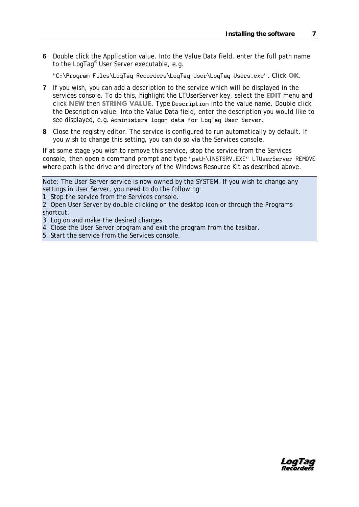**6** Double click the Application value. Into the Value Data field, enter the full path name to the LogTag® User Server executable, e.g.

"C:\Program Files\LogTag Recorders\LogTag User\LogTag Users.exe". Click **OK**.

- **7** If you wish, you can add a description to the service which will be displayed in the services console. To do this, highlight the LTUserServer key, select the **EDIT** menu and click **NEW** then **STRING VALUE**. Type Description into the value name. Double click the Description value. Into the Value Data field, enter the description you would like to see displayed, e.g. Administers logon data for LogTag User Server.
- **8** Close the registry editor. The service is configured to run automatically by default. If you wish to change this setting, you can do so via the Services console.

If at some stage you wish to remove this service, stop the service from the Services console, then open a command prompt and type "path\INSTSRV.EXE" LTUserServer REMOVE where path is the drive and directory of the Windows Resource Kit as described above.

Note: The User Server service is now owned by the SYSTEM. If you wish to change any settings in User Server, you need to do the following:

1. Stop the service from the Services console.

2. Open User Server by double clicking on the desktop icon or through the Programs shortcut.

- 3. Log on and make the desired changes.
- 4. Close the User Server program and exit the program from the taskbar.
- 5. Start the service from the Services console.

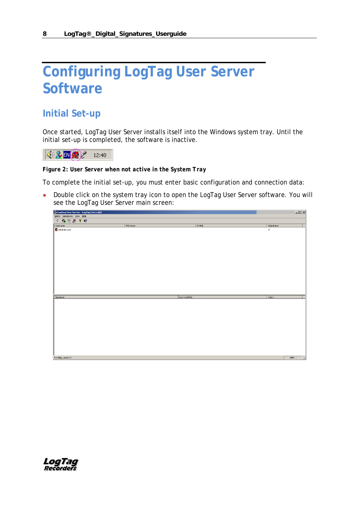## <span id="page-11-1"></span>**Configuring LogTag User Server Software**

### <span id="page-11-0"></span>**Initial Set-up**

Once started, LogTag User Server installs itself into the Windows system tray. Until the initial set-up is completed, the software is inactive.



*Figure 2: User Server when not active in the System Tray*

To complete the initial set-up, you must enter basic configuration and connection data:

• Double click on the system tray icon to open the LogTag User Server software. You will see the LogTag User Server main screen:

| , LogTag User Server - LogTag Users.dat |           |               | $\Box$                          |
|-----------------------------------------|-----------|---------------|---------------------------------|
| Users Signatures View Help              |           |               |                                 |
|                                         |           |               |                                 |
|                                         | Full name | E-Mail        | Signatures                      |
| Username<br><b>K</b> Administrator      |           |               | $\boldsymbol{0}$                |
| Signature                               |           | Last modified | <b>Users</b>                    |
|                                         |           |               |                                 |
| For Help, press F1                      |           |               | NUM<br>$\overline{\phantom{a}}$ |

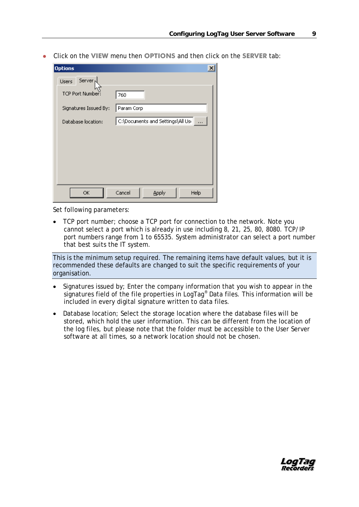Click on the **VIEW** menu then **OPTIONS** and then click on the **SERVER** tab:

| <b>Options</b>               | $\times$                                                                                                                               |
|------------------------------|----------------------------------------------------------------------------------------------------------------------------------------|
| Server <sub>1</sub><br>Users |                                                                                                                                        |
| <b>TCP Port Number:</b>      | 760                                                                                                                                    |
| Signatures Issued By:        | Param Corp                                                                                                                             |
| Database location:           | $ \mathsf{C}\mathord{:}\langle \mathsf{Documents}\ \mathsf{and}\ \mathsf{Setting}\mathord{\setminus}\mathsf{All}\ \mathsf{Us}_1 $<br>. |
|                              |                                                                                                                                        |
|                              |                                                                                                                                        |
|                              |                                                                                                                                        |
|                              |                                                                                                                                        |
|                              |                                                                                                                                        |
| ОК                           | Cancel<br>Apply<br>Help                                                                                                                |

Set following parameters:

• TCP port number; choose a TCP port for connection to the network. Note you cannot select a port which is already in use including 8, 21, 25, 80, 8080. TCP/IP port numbers range from 1 to 65535. System administrator can select a port number that best suits the IT system.

This is the minimum setup required. The remaining items have default values, but it is recommended these defaults are changed to suit the specific requirements of your organisation.

- Signatures issued by; Enter the company information that you wish to appear in the signatures field of the file properties in LogTag<sup>®</sup> Data files. This information will be included in every digital signature written to data files.
- Database location; Select the storage location where the database files will be stored, which hold the user information. This can be different from the location of the log files, but please note that the folder must be accessible to the User Server software at all times, so a network location should not be chosen.

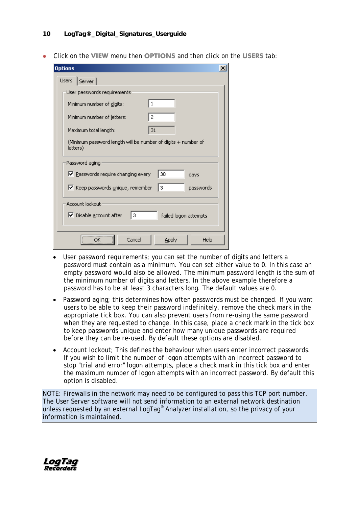Click on the **VIEW** menu then **OPTIONS** and then click on the **USERS** tab:

| <b>Options</b>                                                             |  |
|----------------------------------------------------------------------------|--|
| <b>Users</b><br>Server                                                     |  |
| User passwords requirements:                                               |  |
| $\mathbf{1}$<br>Minimum number of digits:                                  |  |
| 2<br>Minimum number of letters:                                            |  |
| 31<br>Maximum total length:                                                |  |
| (Minimum password length will be number of digits + number of<br>letters)  |  |
| Password aging                                                             |  |
| $\nabla$ Passwords require changing every<br>30<br>days                    |  |
| 3<br>Ⅳ Keep passwords unique, remember<br>passwords                        |  |
| Account lockout<br>Ⅳ Disable account after<br>13.<br>failed logon attempts |  |
| Cancel<br>Apply<br>Help                                                    |  |

- User password requirements; you can set the number of digits and letters a password must contain as a minimum. You can set either value to 0. In this case an empty password would also be allowed. The minimum password length is the sum of the minimum number of digits and letters. In the above example therefore a password has to be at least 3 characters long. The default values are 0.
- Password aging; this determines how often passwords must be changed. If you want users to be able to keep their password indefinitely, remove the check mark in the appropriate tick box. You can also prevent users from re-using the same password when they are requested to change. In this case, place a check mark in the tick box to keep passwords unique and enter how many unique passwords are required before they can be re-used. By default these options are disabled.
- Account lockout; This defines the behaviour when users enter incorrect passwords. If you wish to limit the number of logon attempts with an incorrect password to stop "trial and error" logon attempts, place a check mark in this tick box and enter the maximum number of logon attempts with an incorrect password. By default this option is disabled.

NOTE: Firewalls in the network may need to be configured to pass this TCP port number. The User Server software will not send information to an external network destination unless requested by an external LogTag® Analyzer installation, so the privacy of your information is maintained.

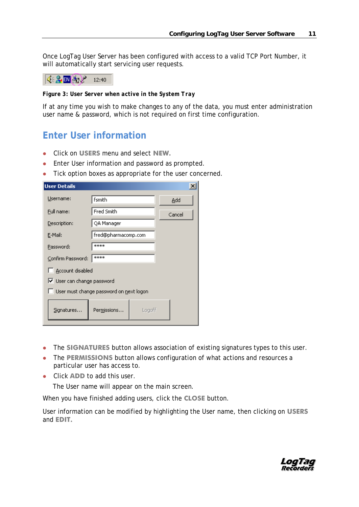Once LogTag User Server has been configured with access to a valid TCP Port Number, it will automatically start servicing user requests.

 $\frac{1}{2}$   $\frac{1}{2}$   $\frac{1}{2}$   $\frac{1}{2}$   $\frac{1}{2}$   $\frac{1}{2}$   $\frac{1}{2}$   $\frac{1}{2}$   $\frac{1}{2}$   $\frac{1}{2}$   $\frac{1}{2}$   $\frac{1}{2}$   $\frac{1}{2}$   $\frac{1}{2}$   $\frac{1}{2}$   $\frac{1}{2}$   $\frac{1}{2}$   $\frac{1}{2}$   $\frac{1}{2}$   $\frac{1}{2}$   $\frac{1}{2}$   $\frac{1}{2}$ 

*Figure 3: User Server when active in the System Tray*

If at any time you wish to make changes to any of the data, you must enter administration user name & password, which is not required on first time configuration.

### <span id="page-14-0"></span>**Enter User information**

- Click on **USERS** menu and select **NEW.**
- **Enter User information and password as prompted.**
- Tick option boxes as appropriate for the user concerned.

| <b>User Details</b>        |                                         |        | $\vert x \vert$ |
|----------------------------|-----------------------------------------|--------|-----------------|
| Username:                  | fsmith                                  |        | Add             |
| Full name:                 | Fred Smith                              |        | Cancel          |
| Description:               | QA Manager                              |        |                 |
| E-Mail:                    | fred@pharmacomp.com                     |        |                 |
| Password:                  | ****                                    |        |                 |
| Confirm Password:          | ****                                    |        |                 |
| Account disabled           |                                         |        |                 |
| Ⅳ User can change password |                                         |        |                 |
|                            | User must change password on next logon |        |                 |
| Signatures                 | Permissions                             | Logoff |                 |
|                            |                                         |        |                 |

- The **SIGNATURES** button allows association of existing signatures types to this user.
- The **PERMISSIONS** button allows configuration of what actions and resources a particular user has access to.
- Click **ADD** to add this user.

The User name will appear on the main screen.

When you have finished adding users, click the **CLOSE** button.

User information can be modified by highlighting the User name, then clicking on **USERS**  and **EDIT.**

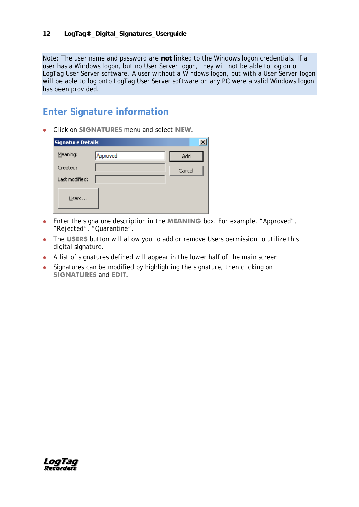Note: The user name and password are **not** linked to the Windows logon credentials. If a user has a Windows logon, but no User Server logon, they will not be able to log onto LogTag User Server software. A user without a Windows logon, but with a User Server logon will be able to log onto LogTag User Server software on any PC were a valid Windows logon has been provided.

### **Enter Signature information**

Click on **SIGNATURES** menu and select **NEW.**

| <b>Signature Details</b> |          |        |
|--------------------------|----------|--------|
| Meaning:                 | Approved | Add    |
| Created:                 |          | Cancel |
| Last modified:           |          |        |
| Users                    |          |        |

- Enter the signature description in the **MEANING** box. For example, "Approved", "Rejected", "Quarantine".
- The **USERS** button will allow you to add or remove Users permission to utilize this digital signature.
- A list of signatures defined will appear in the lower half of the main screen
- Signatures can be modified by highlighting the signature, then clicking on **SIGNATURES** and **EDIT.**

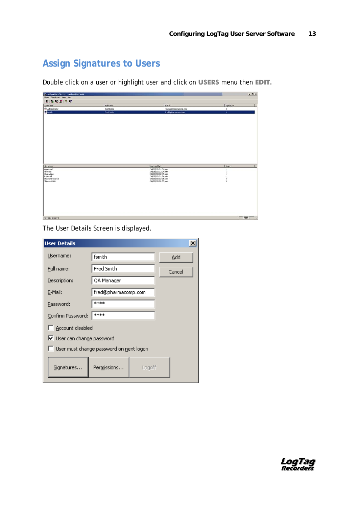## **Assign Signatures to Users**

Double click on a user or highlight user and click on **USERS** menu then **EDIT.**

|                                                                               | <b>CytogTagUser Server - LogTagUsers.dat</b> |                                              | $\frac{1}{2}$                              |
|-------------------------------------------------------------------------------|----------------------------------------------|----------------------------------------------|--------------------------------------------|
| Users Signatures Yew Help                                                     |                                              |                                              |                                            |
| 0.00888                                                                       |                                              |                                              |                                            |
| Username                                                                      | Full name                                    | E-Mail                                       | Sqnatures                                  |
| Administrator                                                                 | Joe Bloggs                                   | bloggs@pharmacomp.com                        | o.                                         |
| 3 Fanith                                                                      | Fred Smith                                   | fred@pharmacomp.com                          | ٠                                          |
|                                                                               |                                              |                                              |                                            |
|                                                                               |                                              |                                              |                                            |
|                                                                               |                                              |                                              |                                            |
|                                                                               |                                              | Last modified                                | <b>Users</b>                               |
|                                                                               |                                              | 30/08/2010 1:56 p.m.                         |                                            |
|                                                                               |                                              | 30/08/2010 2:04 p.m.                         |                                            |
|                                                                               |                                              | 30/08/2010 2:05 p.m.<br>30/00/2010 1:56 p.m. | 1                                          |
| Sgnature<br>Approved<br>QA Pass<br>Quaractine<br>Rejected<br>Shipment Cleared |                                              | 30/00/2010 2:05 p.m.                         |                                            |
| Shipment Hold                                                                 |                                              | 30/08/2010 2:05 p.m.                         | $\begin{smallmatrix}0\\0\end{smallmatrix}$ |
|                                                                               |                                              |                                              |                                            |
|                                                                               |                                              |                                              |                                            |
| For Help, press F1                                                            |                                              |                                              | $N M$ $\angle$                             |

The User Details Screen is displayed.

| <b>User Details</b>        |                                         |        | $\vert x \vert$ |
|----------------------------|-----------------------------------------|--------|-----------------|
| Username:                  | fsmith                                  |        | Add             |
| Full name:                 | Fred Smith                              |        | Cancel          |
| Description:               | QA Manager                              |        |                 |
| E-Mail:                    | fred@pharmacomp.com                     |        |                 |
| Password:                  | ****                                    |        |                 |
| Confirm Password:          | ****                                    |        |                 |
| Account disabled           |                                         |        |                 |
| Ⅳ User can change password |                                         |        |                 |
|                            | User must change password on next logon |        |                 |
| Signatures                 | Permissions                             | Logoff |                 |

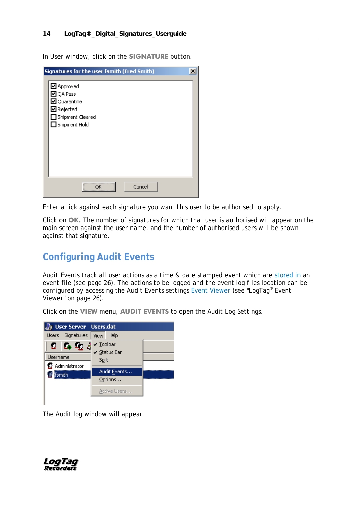In User window, click on the **SIGNATURE** button.

| Signatures for the user fsmith (Fred Smith)                          |        |  |
|----------------------------------------------------------------------|--------|--|
| Approved<br>$\boxtimes$ QA Pass<br>☑ Quarantine<br><b>Ø</b> Rejected |        |  |
| $\Box$ Shipment Cleared<br>$\Box$ Shipment Hold                      |        |  |
|                                                                      |        |  |
|                                                                      |        |  |
|                                                                      | Cancel |  |

Enter a tick against each signature you want this user to be authorised to apply.

Click on **OK.** The number of signatures for which that user is authorised will appear on the main screen against the user name, and the number of authorised users will be shown against that signature.

### <span id="page-17-0"></span>**Configuring Audit Events**

Audit Events track all user actions as a time & date stamped event which are stored in an event file (see page [26\)](#page-29-0). The actions to be logged and the event log files location can be configured by accessing the Audit Events settings Event Viewer (see ["LogTag®](#page-29-1) Event [Viewer"](#page-29-1) on page [26\)](#page-29-1).

Sy User Server - Users.dat Users Signatures View Help  $\vee$  Toolbar 23 I 23 23 A ✔ Status Bar Username Split Administrator Audit Events... **S**fsmith Options... Active Users...

Click on the **VIEW** menu, **AUDIT EVENTS** to open the Audit Log Settings.

The Audit log window will appear.

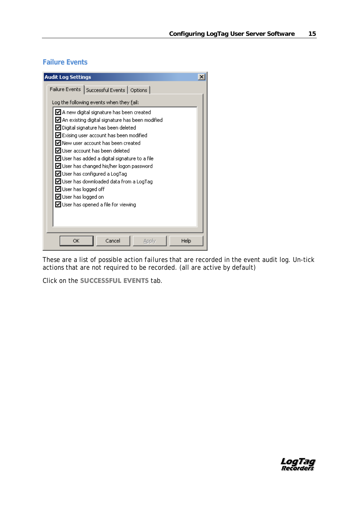#### **Failure Events**

| <b>Audit Log Settings</b>                                                                                                                                                                                                                                                                                                                                                                                                                                                                                                                                                                                          |  |
|--------------------------------------------------------------------------------------------------------------------------------------------------------------------------------------------------------------------------------------------------------------------------------------------------------------------------------------------------------------------------------------------------------------------------------------------------------------------------------------------------------------------------------------------------------------------------------------------------------------------|--|
| Failure Events   Successful Events   Options                                                                                                                                                                                                                                                                                                                                                                                                                                                                                                                                                                       |  |
| Log the following events when they fail:                                                                                                                                                                                                                                                                                                                                                                                                                                                                                                                                                                           |  |
| $\boxtimes$ A new digital signature has been created<br>$\boxtimes$ An existing digital signature has been modified<br>$\boxdot$ Digital signature has been deleted<br>$\triangledown$ Exising user account has been modified<br>$\boxdot$ New user account has been created<br>l√l User account has been deleted<br>$\boxdot$ User has added a digital signature to a file.<br>$\Box$ User has changed his/her logon password<br>☑ User has configured a LogTag<br>$\blacksquare$ User has downloaded data from a LogTag<br>☑ User has logged off<br>☑ User has logged on<br>◘ User has opened a file for viewing |  |
| Cancel<br>Help<br>ОК<br>Apply                                                                                                                                                                                                                                                                                                                                                                                                                                                                                                                                                                                      |  |

These are a list of possible action *failures* that are recorded in the event audit log. Un-tick actions that are not required to be recorded. (all are active by default)

Click on the **SUCCESSFUL EVENTS** tab.

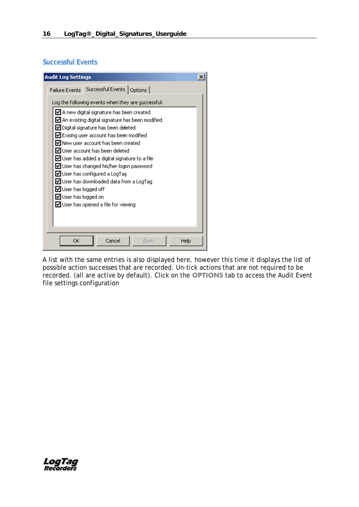#### **Successful Events**

| <b>Audit Log Settings</b>                                                                                                                                                                                                                                                                                                                                                                                                                                                                                                                                                                                | $\times$ |
|----------------------------------------------------------------------------------------------------------------------------------------------------------------------------------------------------------------------------------------------------------------------------------------------------------------------------------------------------------------------------------------------------------------------------------------------------------------------------------------------------------------------------------------------------------------------------------------------------------|----------|
| Failure Events Successful Events   Options                                                                                                                                                                                                                                                                                                                                                                                                                                                                                                                                                               |          |
| Log the following events when they are successful:                                                                                                                                                                                                                                                                                                                                                                                                                                                                                                                                                       |          |
| $\boxtimes$ A new digital signature has been created.<br>$\boxtimes$ An existing digital signature has been modified<br>☑ Digital signature has been deleted<br>$\boxtimes$ Exising user account has been modified<br>$\boxdot$ New user account has been created<br>$\boxdot$ User account has been deleted.<br>$\boxdot$ User has added a digital signature to a file<br>$\blacksquare$ User has changed his/her logon password<br>◘ User has configured a LogTag<br>☑ User has downloaded data from a LogTag<br>☑ User has logged off<br>☑ User has logged on<br>◘ User has opened a file for viewing |          |
| Cancel<br>Help<br>ОK<br>Apply                                                                                                                                                                                                                                                                                                                                                                                                                                                                                                                                                                            |          |

A list with the same entries is also displayed here, however this time it displays the list of possible action successes that are recorded. Un-tick actions that are not required to be recorded. (all are active by default). Click on the **OPTIONS** tab to access the Audit Event file settings configuration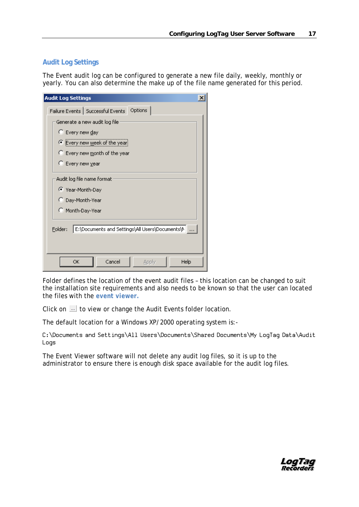#### **Audit Log Settings**

The Event audit log can be configured to generate a new file daily, weekly, monthly or yearly. You can also determine the make up of the file name generated for this period.

| <b>Audit Log Settings</b>                                    |  |
|--------------------------------------------------------------|--|
| Failure Events   Successful Events   Options                 |  |
| Generate a new audit log file                                |  |
| C Every new day                                              |  |
| Every new week of the year                                   |  |
| C Every new month of the year                                |  |
| C Every new year                                             |  |
| Audit log file name format<br>● Year-Month-Day               |  |
| C Day-Month-Year                                             |  |
| C Month-Day-Year                                             |  |
| E:\Documents and Settings\All Users\Documents\N  <br>Folder: |  |
| Cancel<br>OK<br>Apply<br>Help                                |  |

Folder defines the location of the event audit files – this location can be changed to suit the installation site requirements and also needs to be known so that the user can located the files with the *event viewer.*

Click on  $\mathbb{Z}$  to view or change the Audit Events folder location.

The default location for a Windows XP/2000 operating system is:-

C:\Documents and Settings\All Users\Documents\Shared Documents\My LogTag Data\Audit Logs

The Event Viewer software will not delete any audit log files, so it is up to the administrator to ensure there is enough disk space available for the audit log files.

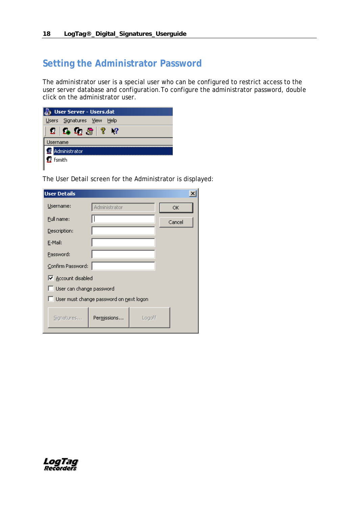### <span id="page-21-0"></span>**Setting the Administrator Password**

The administrator user is a special user who can be configured to restrict access to the user server database and configuration.To configure the administrator password, double click on the administrator user.

| <b>User Server - Users.dat</b> |                                 |  |  |  |  |
|--------------------------------|---------------------------------|--|--|--|--|
|                                | Users Signatures View<br>– Help |  |  |  |  |
|                                | 2   1   1   2   3   7   2       |  |  |  |  |
|                                | Jsername                        |  |  |  |  |
| Administrator                  |                                 |  |  |  |  |
| <b>R</b> fsmith                |                                 |  |  |  |  |
|                                |                                 |  |  |  |  |

The User Detail screen for the Administrator is displayed:

| <b>User Details</b>      |                                         |        | $\vert x \vert$ |
|--------------------------|-----------------------------------------|--------|-----------------|
| Username:                | Administrator                           |        | ОK              |
| Full name:               |                                         |        | Cancel          |
| Description:             |                                         |        |                 |
| E-Mail:                  |                                         |        |                 |
| Password:                |                                         |        |                 |
| Confirm Password:        |                                         |        |                 |
| □ Account disabled       |                                         |        |                 |
| User can change password |                                         |        |                 |
|                          | User must change password on next logon |        |                 |
| Signatures               | Permissions                             | Logoff |                 |

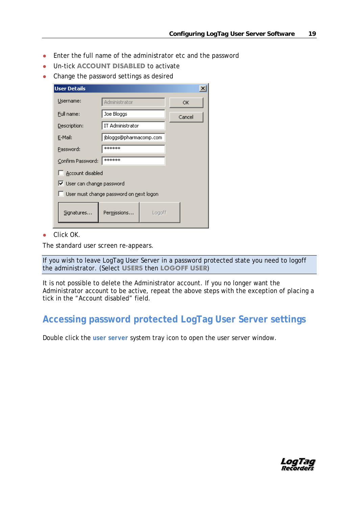- Enter the full name of the administrator etc and the password
- Un-tick **ACCOUNT DISABLED** to activate
- Change the password settings as desired

| <b>User Details</b>                     |                              |        | $\boldsymbol{\mathsf{x}}$ |  |  |  |
|-----------------------------------------|------------------------------|--------|---------------------------|--|--|--|
| Username:                               | Administrator                |        | ОК                        |  |  |  |
| Full name:                              | Joe Bloggs                   |        | Cancel                    |  |  |  |
| Description:                            | IT Administrator             |        |                           |  |  |  |
| E-Mail:                                 | jbloggs@pharmacomp.com       |        |                           |  |  |  |
| Password:                               | ******                       |        |                           |  |  |  |
|                                         | *******<br>Confirm Password: |        |                           |  |  |  |
| Account disabled                        |                              |        |                           |  |  |  |
|                                         | Ⅳ User can change password   |        |                           |  |  |  |
| User must change password on next logon |                              |        |                           |  |  |  |
| Signatures                              | Permissions                  | Logoff |                           |  |  |  |

**Click OK.** 

The standard user screen re-appears.

If you wish to leave LogTag User Server in a password protected state you need to logoff the administrator. (Select **USERS** then **LOGOFF USER** )

It is not possible to delete the Administrator account. If you no longer want the Administrator account to be active, repeat the above steps with the exception of placing a tick in the "Account disabled" field.

### **Accessing password protected LogTag User Server settings**

Double click the *user server* system tray icon to open the user server window.

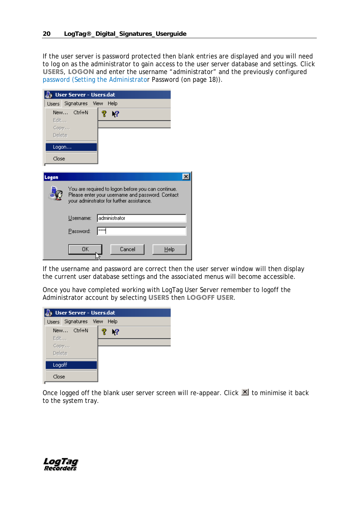If the user server is password protected then blank entries are displayed and you will need to log on as the administrator to gain access to the user server database and settings. Click **USERS**, **LOGON** and enter the username "administrator" and the previously configured password (Setting the Administrator Password (on page [18\)](#page-21-0)).

|        | <b>User Server - Users.dat</b>                                                                                                                      |               |        |      |  |
|--------|-----------------------------------------------------------------------------------------------------------------------------------------------------|---------------|--------|------|--|
|        | Users Signatures View Help                                                                                                                          |               |        |      |  |
|        | New Ctrl+N                                                                                                                                          | ę<br>-?       |        |      |  |
| Edit   |                                                                                                                                                     |               |        |      |  |
| Copy   |                                                                                                                                                     |               |        |      |  |
| Delete |                                                                                                                                                     |               |        |      |  |
| Logon  |                                                                                                                                                     |               |        |      |  |
| Close  |                                                                                                                                                     |               |        |      |  |
|        |                                                                                                                                                     |               |        |      |  |
| Logon  |                                                                                                                                                     |               |        |      |  |
|        | You are required to logon before you can continue.<br>Please enter your username and password. Contact<br>your adminstrator for further assistance. |               |        |      |  |
|        | Username:                                                                                                                                           | administrator |        |      |  |
|        | Password:                                                                                                                                           | <b>xxxx</b>   |        |      |  |
|        | 0K                                                                                                                                                  |               | Cancel | Help |  |

If the username and password are correct then the user server window will then display the current user database settings and the associated menus will become accessible.

Once you have completed working with LogTag User Server remember to logoff the Administrator account by selecting **USERS** then **LOGOFF USER**.



Once logged off the blank user server screen will re-appear. Click  $\mathbf{X}$  to minimise it back to the system tray.

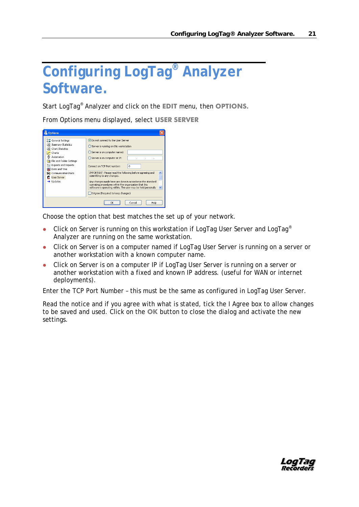## **Configuring LogTag® Analyzer Software.**

Start LogTag® Analyzer and click on the **EDIT** menu, then **OPTIONS.**

From Options menu displayed, select **USER SERVER**

| <b>Options</b>                                                                                                                                                                                                                                   |                                                                                                                                                                                                                                                                                                                                                                                                                                                                                                          |
|--------------------------------------------------------------------------------------------------------------------------------------------------------------------------------------------------------------------------------------------------|----------------------------------------------------------------------------------------------------------------------------------------------------------------------------------------------------------------------------------------------------------------------------------------------------------------------------------------------------------------------------------------------------------------------------------------------------------------------------------------------------------|
| 응급 General Settings<br><b><i>f</i></b> , Summary Statistics<br>Chart Statistics<br>Charts<br>Automation<br>File and Folder Settings<br><b>Exports and Reports</b><br>Date and Time<br>Communication Ports<br>an<br><b>User Server</b><br>Updates | ● Do not connect to the User Server<br>Server is running on this workstation<br>Server is on computer named:<br>Server is on computer at IP:<br>Connect on TCP Port number:<br>n<br>IMPORTANT: Please read the following before agreeing and<br>committing to any changes.<br>Any changes made here are done in accordance the standard<br>operating procedures within the organization that this<br>software is operating within. The user may be held personally<br>I Agree (Required to keep changes) |
|                                                                                                                                                                                                                                                  | Cancel<br>Help<br>ΩK                                                                                                                                                                                                                                                                                                                                                                                                                                                                                     |

Choose the option that best matches the set up of your network.

- Click on Server is running on this workstation if LogTag User Server and LogTag® Analyzer are running on the same workstation.
- Click on Server is on a computer named if LogTag User Server is running on a server or another workstation with a known computer name.
- Click on Server is on a computer IP if LogTag User Server is running on a server or another workstation with a fixed and known IP address. (useful for WAN or internet deployments).

Enter the TCP Port Number – this must be the same as configured in LogTag User Server.

Read the notice and if you agree with what is stated, tick the I Agree box to allow changes to be saved and used. Click on the **OK** button to close the dialog and activate the new settings.

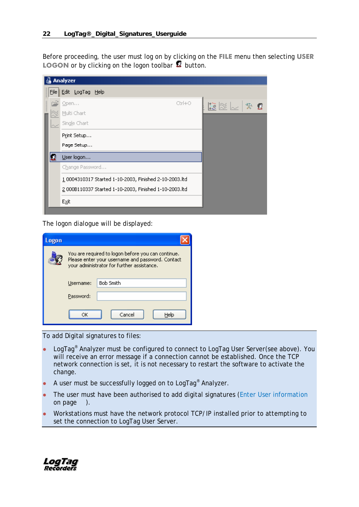Before proceeding, the user must log on by clicking on the **FILE** menu then selecting **USER LOGON** or by clicking on the logon toolbar **B** button.

| Analyzer                                               |                                                   |
|--------------------------------------------------------|---------------------------------------------------|
| File Edit LogTag Help                                  |                                                   |
| $Ctrl + O$<br>$Q$ pen                                  | $\mathbb{E} \otimes \mathbb{R} \times \mathbb{R}$ |
| Multi Chart                                            |                                                   |
| Single Chart                                           |                                                   |
| Print Setup                                            |                                                   |
| Page Setup                                             |                                                   |
| User logon                                             |                                                   |
| Change Password                                        |                                                   |
| 1 0004310317 Started 1-10-2003, Finished 2-10-2003.ltd |                                                   |
| 2 000B110337 Started 1-10-2003, Finished 1-10-2003.ltd |                                                   |
| E⊻it                                                   |                                                   |
|                                                        |                                                   |

The logon dialogue will be displayed:

| ogon |                                                                                                                                                      |
|------|------------------------------------------------------------------------------------------------------------------------------------------------------|
|      | You are required to logon before you can continue.<br>Please enter your username and password. Contact<br>your administrator for further assistance. |
|      | <b>Bob Smith</b><br>Username:                                                                                                                        |
|      | Password:                                                                                                                                            |
|      | Cancel<br>Helo<br>OΚ                                                                                                                                 |

To add Digital signatures to files:

- LogTag<sup>®</sup> Analyzer must be configured to connect to LogTag User Server(see above). You will receive an error message if a connection cannot be established. Once the TCP network connection is set, it is not necessary to restart the software to activate the change.
- A user must be successfully logged on to LogTag<sup>®</sup> Analyzer.
- The user must have been authorised to add digital signatures (Enter User information on page  $\blacksquare$ ).
- Workstations must have the network protocol TCP/IP installed prior to attempting to set the connection to LogTag User Server.

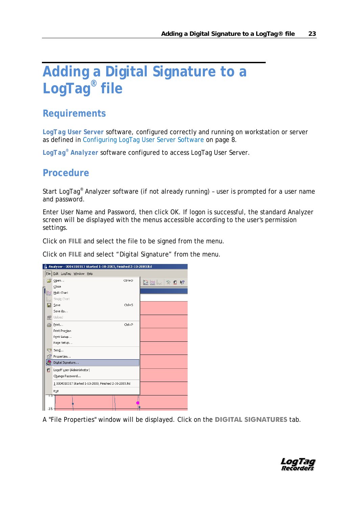## **Adding a Digital Signature to a LogTag® file**

### **Requirements**

*LogTag User Server* software, configured correctly and running on workstation or server as defined in Configuring LogTag User Server Software on page [8.](#page-11-1)

*LogTag® Analyzer* software configured to access LogTag User Server.

### **Procedure**

Start LogTag® Analyzer software (if not already running) – user is prompted for a user name and password.

Enter User Name and Password, then click OK. If logon is successful, the standard Analyzer screen will be displayed with the menus accessible according to the user's permission settings.

Click on **FILE** and select the file to be signed from the menu.

Click on **FILE** and select "Digital Signature" from the menu.

| Analyzer - 0004310317 Started 1-10-2003, Finished 2-10-2003.ltd |                                                        |            |                                                                                                                                                                                                                                                                         |  |  |  |
|-----------------------------------------------------------------|--------------------------------------------------------|------------|-------------------------------------------------------------------------------------------------------------------------------------------------------------------------------------------------------------------------------------------------------------------------|--|--|--|
|                                                                 | File Edit LogTag Window Help                           |            |                                                                                                                                                                                                                                                                         |  |  |  |
| Ê.                                                              | Open                                                   | Ctrl+O     | $\begin{picture}(130,15)(-10,15)(-10,15)(-10,15)(-10,15)(-10,15)(-10,15)(-10,15)(-10,15)(-10,15)(-10,15)(-10,15)(-10,15)(-10,15)(-10,15)(-10,15)(-10,15)(-10,15)(-10,15)(-10,15)(-10,15)(-10,15)(-10,15)(-10,15)(-10,15)(-10,15)(-10,15)(-10,15)(-10,15)(-10,15)(-10,1$ |  |  |  |
|                                                                 | Close                                                  |            |                                                                                                                                                                                                                                                                         |  |  |  |
|                                                                 | Multi Chart                                            |            |                                                                                                                                                                                                                                                                         |  |  |  |
|                                                                 | Single Chart                                           |            |                                                                                                                                                                                                                                                                         |  |  |  |
|                                                                 | Save                                                   | $Ctrl + S$ |                                                                                                                                                                                                                                                                         |  |  |  |
|                                                                 | Save As                                                |            |                                                                                                                                                                                                                                                                         |  |  |  |
| 嗖                                                               | Upload                                                 |            |                                                                                                                                                                                                                                                                         |  |  |  |
| s                                                               | Print                                                  | Ctrl+P     |                                                                                                                                                                                                                                                                         |  |  |  |
|                                                                 | Print Preview                                          |            |                                                                                                                                                                                                                                                                         |  |  |  |
|                                                                 | Print Setup                                            |            |                                                                                                                                                                                                                                                                         |  |  |  |
|                                                                 | Page Setup                                             |            |                                                                                                                                                                                                                                                                         |  |  |  |
| ☜                                                               | Send                                                   |            |                                                                                                                                                                                                                                                                         |  |  |  |
| f                                                               | Properties                                             |            |                                                                                                                                                                                                                                                                         |  |  |  |
| 8                                                               | Digital Signature                                      |            |                                                                                                                                                                                                                                                                         |  |  |  |
| Ω                                                               | Logoff user (Administrator)                            |            |                                                                                                                                                                                                                                                                         |  |  |  |
|                                                                 | Change Password                                        |            |                                                                                                                                                                                                                                                                         |  |  |  |
|                                                                 | 1 0004310317 Started 1-10-2003, Finished 2-10-2003.ltd |            |                                                                                                                                                                                                                                                                         |  |  |  |
|                                                                 | Exit                                                   |            |                                                                                                                                                                                                                                                                         |  |  |  |
| ᡣᢐ                                                              |                                                        |            |                                                                                                                                                                                                                                                                         |  |  |  |
|                                                                 |                                                        |            |                                                                                                                                                                                                                                                                         |  |  |  |
| $-3.5 -$                                                        |                                                        |            |                                                                                                                                                                                                                                                                         |  |  |  |

A "File Properties" window will be displayed. Click on the **DIGITAL SIGNATURES** tab.

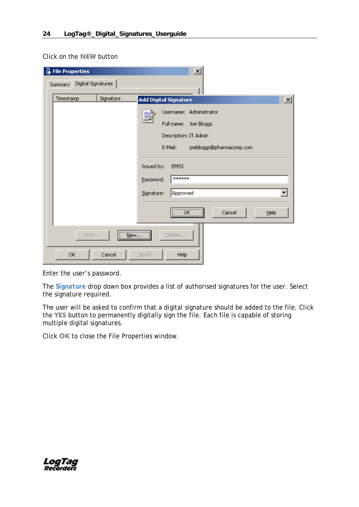Click on the **NEW** button

| <b>File Properties</b>        |           | $\times$                                     |
|-------------------------------|-----------|----------------------------------------------|
| Digital Signatures<br>Summary |           |                                              |
| Timestamp                     | Signature | $\mathbf{x}$<br><b>Add Digital Signature</b> |
|                               |           | Username: Administrator<br>臝                 |
|                               |           | Full name:<br>Joe Bloggs                     |
|                               |           | Description: IT Admin                        |
|                               |           | E-Mail:<br>joebloggs@pharmacomp.com          |
|                               |           |                                              |
|                               |           | Issued by:<br><b>EMSS</b>                    |
|                               |           | ******<br>Password:                          |
|                               |           | Signature:<br>Approved                       |
|                               |           |                                              |
|                               |           | Cancel<br>Help<br>ОК<br>                     |
|                               |           |                                              |
| Print                         | New       | Details                                      |
| <b>OK</b>                     | Cancel    | Apply<br><b>Help</b>                         |

Enter the user's password.

The *Signature* drop down box provides a list of authorised signatures for the user. Select the signature required.

The user will be asked to confirm that a digital signature should be added to the file. Click the **YES** button to permanently digitally sign the file. Each file is capable of storing multiple digital signatures.

Click **OK** to close the File Properties window.

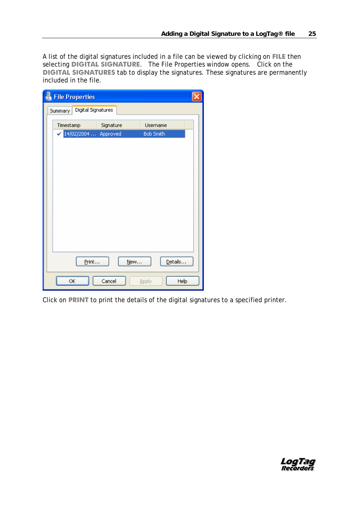A list of the digital signatures included in a file can be viewed by clicking on **FILE** then selecting **DIGITAL SIGNATURE**. The File Properties window opens. Click on the **DIGITAL SIGNATURES** tab to display the signatures. These signatures are permanently included in the file.

| <b>File Properties</b>                                                                        |  |
|-----------------------------------------------------------------------------------------------|--|
| Digital Signatures<br>Summary                                                                 |  |
| Timestamp<br>Signature<br>Username<br>$\checkmark$ 14/02/2004<br>Approved<br><b>Bob Smith</b> |  |
|                                                                                               |  |
|                                                                                               |  |
|                                                                                               |  |
|                                                                                               |  |
|                                                                                               |  |
|                                                                                               |  |
|                                                                                               |  |
| Details<br>Print<br>New                                                                       |  |
| Cancel<br>ОK<br>Help<br>Apply                                                                 |  |

Click on **PRINT** to print the details of the digital signatures to a specified printer.

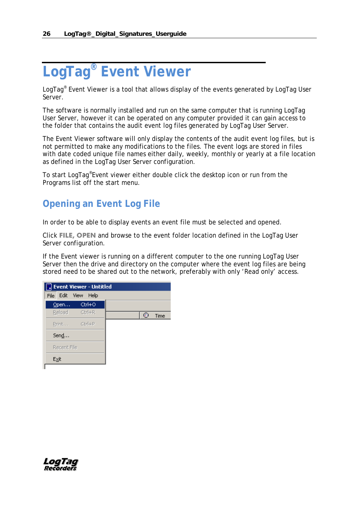## <span id="page-29-1"></span>**LogTag® Event Viewer**

LogTag® Event Viewer is a tool that allows display of the events generated by LogTag User Server.

The software is normally installed and run on the same computer that is running LogTag User Server, however it can be operated on any computer provided it can gain access to the folder that contains the audit event log files generated by LogTag User Server.

The Event Viewer software will only display the contents of the audit event log files, but is not permitted to make any modifications to the files. The event logs are stored in files with date coded unique file names either daily, weekly, monthly or yearly at a file location as defined in the LogTag User Server configuration.

To start LogTag®Event viewer either double click the desktop icon or run from the Programs list off the start menu.

### <span id="page-29-0"></span>**Opening an Event Log File**

In order to be able to display events an event file must be selected and opened.

Click **FILE, OPEN** and browse to the event folder location defined in the LogTag User Server configuration.

If the Event viewer is running on a different computer to the one running LogTag User Server then the drive and directory on the computer where the event log files are being stored need to be shared out to the network, preferably with only 'Read only' access.

| <b>B</b> Event Viewer - Untitled |          |  |    |      |
|----------------------------------|----------|--|----|------|
| File Edit View Help              |          |  |    |      |
| Open                             | Ctrl+O   |  |    |      |
| Reload                           | - Ctrl+R |  | 63 | Time |
| Print Ctrl+P                     |          |  |    |      |
| Send                             |          |  |    |      |
| Recent File                      |          |  |    |      |
| Exit                             |          |  |    |      |
|                                  |          |  |    |      |

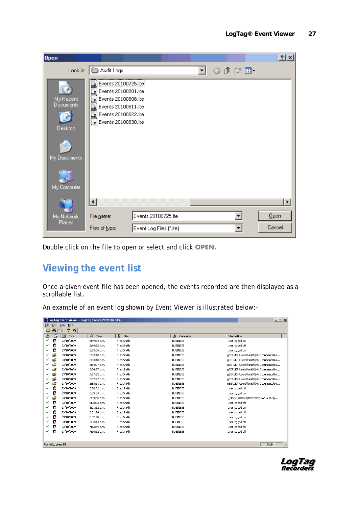| Open                              |                                                                                                                                                   |                         |                     | 2 x    |
|-----------------------------------|---------------------------------------------------------------------------------------------------------------------------------------------------|-------------------------|---------------------|--------|
|                                   | Look in: <b>B</b> Audit Logs                                                                                                                      |                         | $0$ $0$ $0$ $0$ $0$ |        |
| My Recent<br>Documents<br>Desktop | Events 20100725.lte<br>d Events 20100801.lte<br>B Events 20100808.lte<br>B Events 20100811. Ite<br>B Events 20100822.lte<br>B Events 20100830.lte |                         |                     |        |
| My Documents                      |                                                                                                                                                   |                         |                     |        |
| My Computer                       |                                                                                                                                                   |                         |                     |        |
|                                   | $\left  \cdot \right $                                                                                                                            |                         |                     | ▶      |
| My Network                        | File name:                                                                                                                                        | Events 20100725.lte     |                     | Qpen   |
| Places                            | Files of type:                                                                                                                                    | Event Log Files (*.lte) |                     | Cancel |

Double click on the file to open or select and click **OPEN.**

### **Viewing the event list**

Once a given event file has been opened, the events recorded are then displayed as a scrollable list.

An example of an event log shown by Event Viewer is illustrated below:-

| $-1$ $-1$ $\times$<br>LogTag Event Viewer - LogTag Events 20091023.lte |                                  |            |                |            |  |                  |                                       |  |  |  |
|------------------------------------------------------------------------|----------------------------------|------------|----------------|------------|--|------------------|---------------------------------------|--|--|--|
| Edit View<br>Help<br>File                                              |                                  |            |                |            |  |                  |                                       |  |  |  |
| 4<br>P.<br>Ê<br>酯<br>$\mathbf{R}^2$                                    |                                  |            |                |            |  |                  |                                       |  |  |  |
| ₾                                                                      | $\Box$                           | 围<br>Date  | ⊛<br>Time      | n<br>User  |  | 8<br>Computer    | Information                           |  |  |  |
| ✔                                                                      | B                                | 23/10/2009 | 2:49:34 p.m.   | Fred Smith |  | <b>BUSINESS</b>  | User logged on                        |  |  |  |
| ✓                                                                      | Ω                                | 23/10/2009 | 2:49:52 p.m.   | Fred Smith |  | <b>BUSINESS</b>  | User logged off                       |  |  |  |
|                                                                        | £                                | 23/10/2009 | 2:53:06 p.m.   | Fred Smith |  | <b>BUSINESS</b>  | User logged on                        |  |  |  |
| ✓                                                                      | Ê                                | 23/10/2009 | 2:53:18 p.m.   | Fred Smith |  | <b>BUSINESS</b>  | \\SERVER\Users\fsmith\My Documents\Lo |  |  |  |
| ✔                                                                      | 序                                | 23/10/2009 | 2:53:18 p.m.   | Fred Smith |  | <b>BUSINESS</b>  | \\SERVER\Users\fsmith\My Documents\Lo |  |  |  |
|                                                                        | Ê                                | 23/10/2009 | 2:54:27 p.m.   | Fred Smith |  | <b>BUSINESS</b>  | \\SERVER\Users\fsmith\My Documents\Lo |  |  |  |
| ✓                                                                      | Ê                                | 23/10/2009 | 2:54:27 p.m.   | Fred Smith |  | <b>BUSINESS</b>  | \\SERVER\Users\fsmith\My Documents\Lo |  |  |  |
|                                                                        | Ê                                | 23/10/2009 | 2:57:22 p.m.   | Fred Smith |  | <b>BUSINESS</b>  | \\SERVER\Users\fsmith\My Documents\Lo |  |  |  |
|                                                                        | Ê                                | 23/10/2009 | 2:57:47 p.m.   | Fred Smith |  | <b>BLISTNESS</b> | \\SERVER\Users\fsmith\My Documents\Lo |  |  |  |
| ✓                                                                      | 户                                | 23/10/2009 | 2:58:11 p.m.   | Fred Smith |  | <b>BLISINESS</b> | \\SERVER\Users\fsmith\My Documents\Lo |  |  |  |
| ✔                                                                      | B                                | 23/10/2009 | 2:58:32 p.m.   | Fred Smith |  | <b>BUSINESS</b>  | User logged off                       |  |  |  |
|                                                                        | B                                | 23/10/2009 | 2:59:54 p.m.   | Fred Smith |  | <b>BUSINESS</b>  | User logged on                        |  |  |  |
| ✓                                                                      | Ê                                | 23/10/2009 | 2:59:55 p.m.   | Fred Smith |  | <b>BUSINESS</b>  | \\SERVER\Users\fsmith\My Documents\,  |  |  |  |
| ✓                                                                      | Ω                                | 23/10/2009 | 3:00:33 p.m.   | Fred Smith |  | <b>BUSINESS</b>  | User logged off                       |  |  |  |
|                                                                        | £                                | 23/10/2009 | 3:01:12 p.m.   | Fred Smith |  | <b>BUSINESS</b>  | User logged on                        |  |  |  |
| ✔                                                                      | B                                | 23/10/2009 | 3:01:24 p.m.   | Fred Smith |  | <b>BUSINESS</b>  | User logged off                       |  |  |  |
| ✔                                                                      | B                                | 23/10/2009 | 3:02:48 p.m.   | Fred Smith |  | <b>BUSINESS</b>  | User logged on                        |  |  |  |
|                                                                        | s                                | 23/10/2009 | $3:03:14$ p.m. | Fred Smith |  | <b>BUSINESS</b>  | User logged off                       |  |  |  |
|                                                                        | s                                | 23/10/2009 | 7:13:59 p.m.   | Fred Smith |  | <b>BUSINESS</b>  | User logged on                        |  |  |  |
| ✓                                                                      | Ω                                | 23/10/2009 | 7:14:12 p.m.   | Fred Smith |  | <b>BUSINESS</b>  | User logged off                       |  |  |  |
|                                                                        |                                  |            |                |            |  |                  |                                       |  |  |  |
|                                                                        | NUM<br>For Help, press F1<br>/ı. |            |                |            |  |                  |                                       |  |  |  |

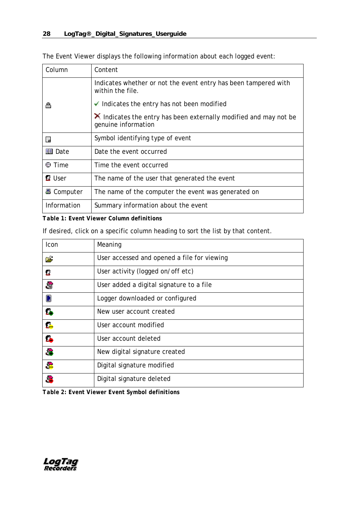| Column                 | Content                                                                                          |  |  |  |  |
|------------------------|--------------------------------------------------------------------------------------------------|--|--|--|--|
|                        | Indicates whether or not the event entry has been tampered with<br>within the file.              |  |  |  |  |
| ₾                      | $\checkmark$ Indicates the entry has not been modified                                           |  |  |  |  |
|                        | $\lambda$ Indicates the entry has been externally modified and may not be<br>genuine information |  |  |  |  |
| E,                     | Symbol identifying type of event                                                                 |  |  |  |  |
| ll <sup>a</sup> l Date | Date the event occurred                                                                          |  |  |  |  |
| t Time®                | Time the event occurred                                                                          |  |  |  |  |
| <b>Q</b> User          | The name of the user that generated the event                                                    |  |  |  |  |
| ■ Computer             | The name of the computer the event was generated on                                              |  |  |  |  |
| Information            | Summary information about the event                                                              |  |  |  |  |

The Event Viewer displays the following information about each logged event:

*Table 1: Event Viewer Column definitions*

If desired, click on a specific column heading to sort the list by that content.

| Icon           | Meaning                                     |
|----------------|---------------------------------------------|
| يستم           | User accessed and opened a file for viewing |
| в              | User activity (logged on/off etc)           |
| S              | User added a digital signature to a file    |
| $\blacksquare$ | Logger downloaded or configured             |
| ß.             | New user account created                    |
| ß.             | User account modified                       |
| É.             | User account deleted                        |
| 3              | New digital signature created               |
| S              | Digital signature modified                  |
| å,             | Digital signature deleted                   |

*Table 2: Event Viewer Event Symbol definitions*

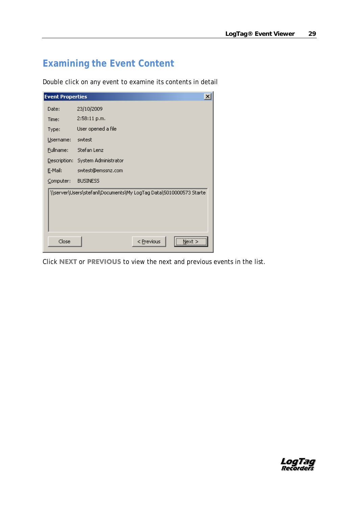### **Examining the Event Content**

Double click on any event to examine its contents in detail

| <b>Event Properties</b><br>$\vert x \vert$ |                                                                   |            |      |  |  |  |  |  |
|--------------------------------------------|-------------------------------------------------------------------|------------|------|--|--|--|--|--|
| Date:                                      | 23/10/2009                                                        |            |      |  |  |  |  |  |
| Time:                                      | 2:58:11 p.m.                                                      |            |      |  |  |  |  |  |
| Type:                                      | User opened a file                                                |            |      |  |  |  |  |  |
| Username:                                  | swtest                                                            |            |      |  |  |  |  |  |
| Fullname:                                  | Stefan Lenz                                                       |            |      |  |  |  |  |  |
|                                            | Description: System Administrator                                 |            |      |  |  |  |  |  |
| E-Mail:                                    | swtest@emssnz.com                                                 |            |      |  |  |  |  |  |
| Computer:                                  | <b>BUSINESS</b>                                                   |            |      |  |  |  |  |  |
|                                            | \\server\Users\stefanl\Documents\My LogTag Data\5010000573 Starte |            |      |  |  |  |  |  |
| Close                                      |                                                                   | < Previous | Next |  |  |  |  |  |

Click **NEXT** or **PREVIOUS** to view the next and previous events in the list.